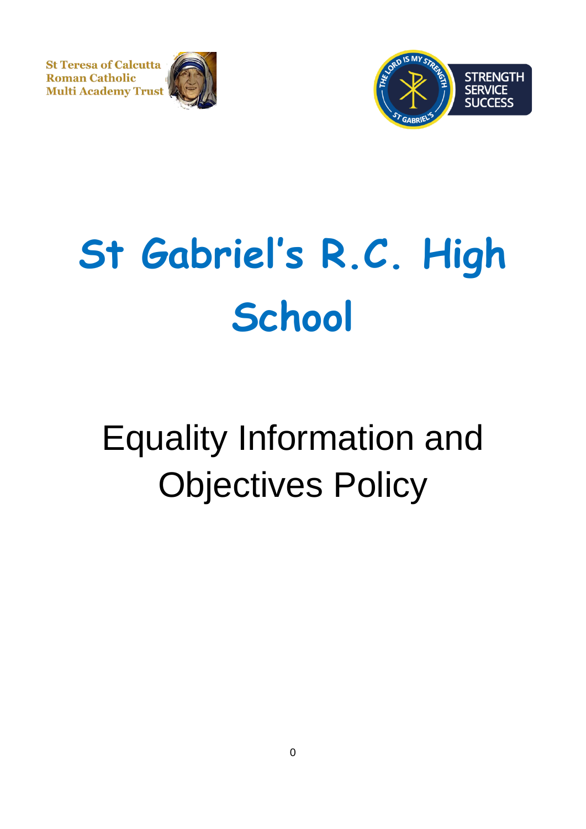**St Teresa of Calcutta Roman Catholic Multi Academy Trust** 





# **St Gabriel's R.C. High School**

# Equality Information and Objectives Policy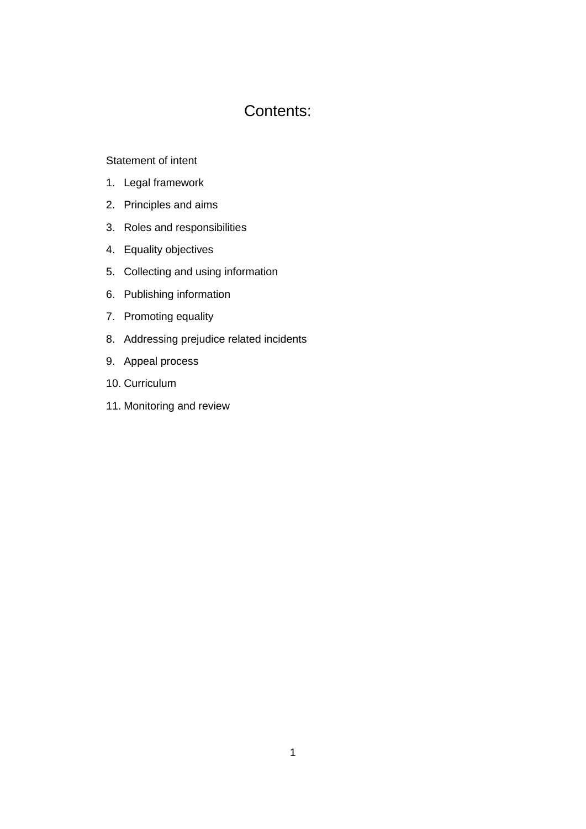# Contents:

#### [Statement of intent](#page-2-0)

- 1. [Legal framework](#page-3-0)
- 2. [Principles and aims](#page-4-0)
- 3. [Roles and responsibilities](#page-6-0)
- 4. [Equality objectives](#page-7-0)
- 5. [Collecting and using information](#page-8-0)
- 6. [Publishing information](#page-8-1)
- 7. [Promoting equality](#page-9-0)
- 8. [Addressing prejudice related incidents](#page-10-0)
- 9. [Appeal process](#page-10-1)
- 10. [Curriculum](#page-10-2)
- 11. [Monitoring and review](#page-10-3)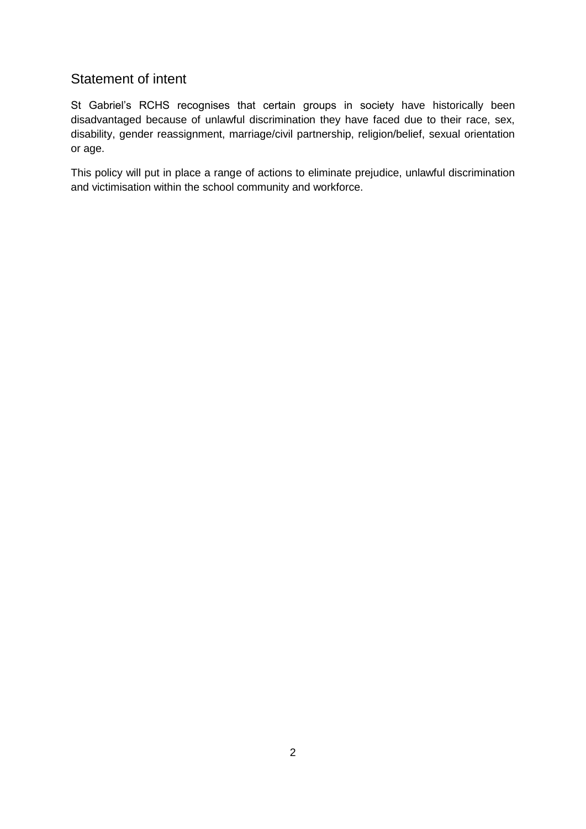# <span id="page-2-0"></span>Statement of intent

St Gabriel's RCHS recognises that certain groups in society have historically been disadvantaged because of unlawful discrimination they have faced due to their race, sex, disability, gender reassignment, marriage/civil partnership, religion/belief, sexual orientation or age.

This policy will put in place a range of actions to eliminate prejudice, unlawful discrimination and victimisation within the school community and workforce.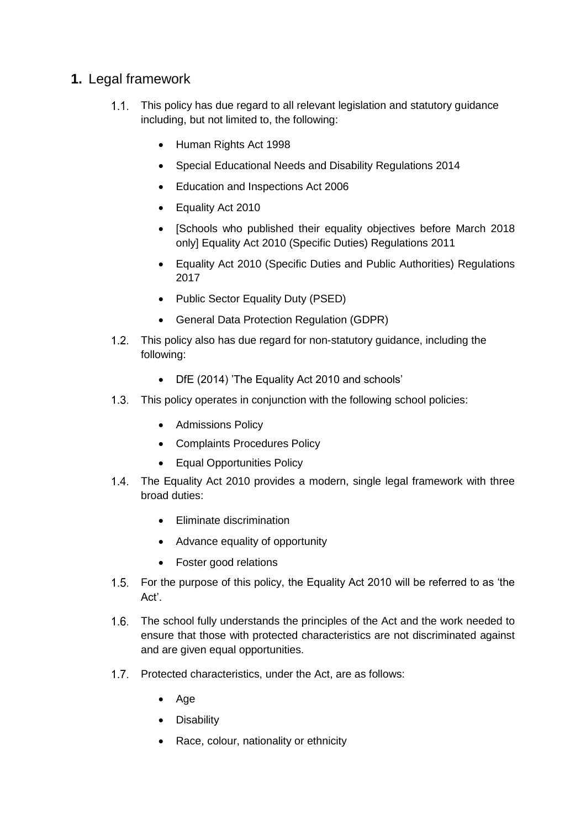# <span id="page-3-0"></span>**1.** Legal framework

- This policy has due regard to all relevant legislation and statutory guidance including, but not limited to, the following:
	- Human Rights Act 1998
	- Special Educational Needs and Disability Regulations 2014
	- Education and Inspections Act 2006
	- Equality Act 2010
	- [Schools who published their equality objectives before March 2018 only] Equality Act 2010 (Specific Duties) Regulations 2011
	- Equality Act 2010 (Specific Duties and Public Authorities) Regulations 2017
	- Public Sector Equality Duty (PSED)
	- General Data Protection Regulation (GDPR)
- This policy also has due regard for non-statutory guidance, including the following:
	- DfE (2014) 'The Equality Act 2010 and schools'
- 1.3. This policy operates in conjunction with the following school policies:
	- Admissions Policy
	- Complaints Procedures Policy
	- Equal Opportunities Policy
- The Equality Act 2010 provides a modern, single legal framework with three broad duties:
	- Eliminate discrimination
	- Advance equality of opportunity
	- Foster good relations
- For the purpose of this policy, the Equality Act 2010 will be referred to as 'the Act'.
- 1.6. The school fully understands the principles of the Act and the work needed to ensure that those with protected characteristics are not discriminated against and are given equal opportunities.
- 1.7. Protected characteristics, under the Act, are as follows:
	- Age
	- Disability
	- Race, colour, nationality or ethnicity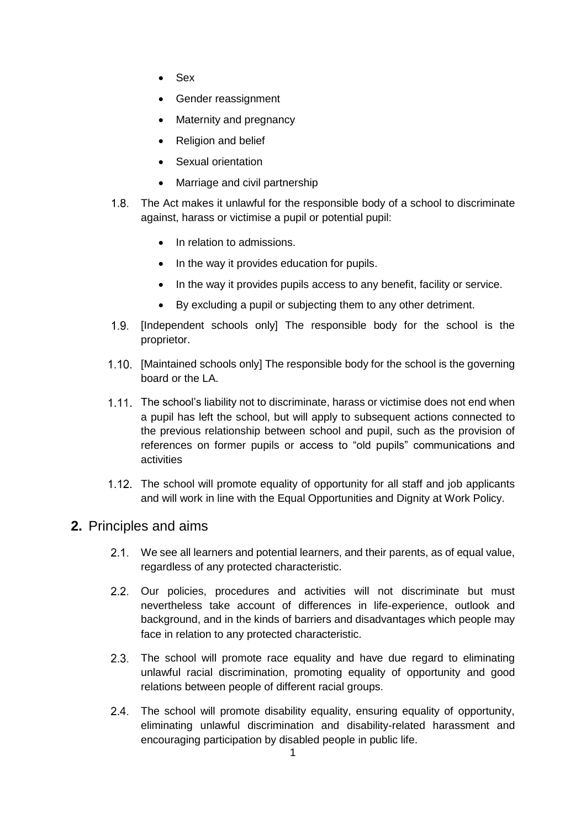- Sex
- Gender reassignment
- Maternity and pregnancy
- Religion and belief
- Sexual orientation
- Marriage and civil partnership
- The Act makes it unlawful for the responsible body of a school to discriminate against, harass or victimise a pupil or potential pupil:
	- In relation to admissions.
	- In the way it provides education for pupils.
	- In the way it provides pupils access to any benefit, facility or service.
	- By excluding a pupil or subjecting them to any other detriment.
- 1.9. [Independent schools only] The responsible body for the school is the proprietor.
- [Maintained schools only] The responsible body for the school is the governing board or the LA.
- 1.11. The school's liability not to discriminate, harass or victimise does not end when a pupil has left the school, but will apply to subsequent actions connected to the previous relationship between school and pupil, such as the provision of references on former pupils or access to "old pupils" communications and activities
- 1.12. The school will promote equality of opportunity for all staff and job applicants and will work in line with the Equal Opportunities and Dignity at Work Policy.

# <span id="page-4-0"></span>**2.** Principles and aims

- We see all learners and potential learners, and their parents, as of equal value, regardless of any protected characteristic.
- 2.2. Our policies, procedures and activities will not discriminate but must nevertheless take account of differences in life-experience, outlook and background, and in the kinds of barriers and disadvantages which people may face in relation to any protected characteristic.
- 2.3. The school will promote race equality and have due regard to eliminating unlawful racial discrimination, promoting equality of opportunity and good relations between people of different racial groups.
- The school will promote disability equality, ensuring equality of opportunity, eliminating unlawful discrimination and disability-related harassment and encouraging participation by disabled people in public life.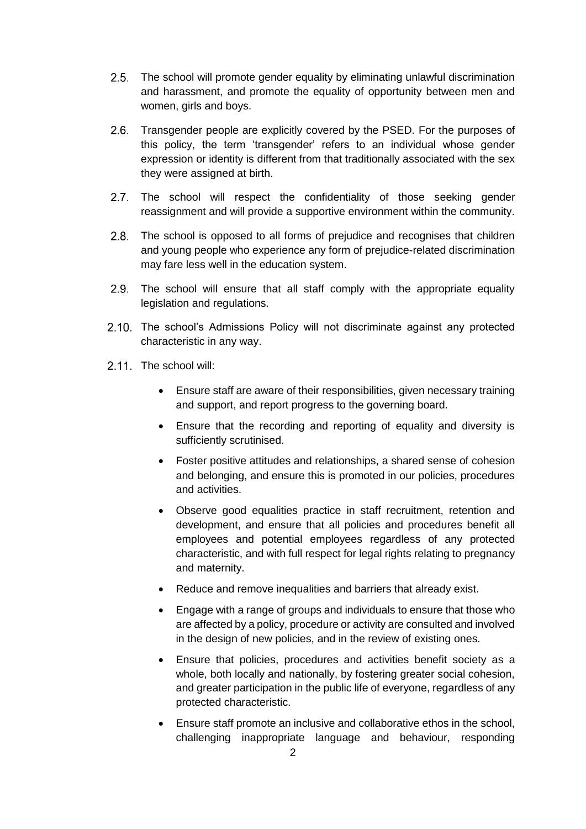- 2.5. The school will promote gender equality by eliminating unlawful discrimination and harassment, and promote the equality of opportunity between men and women, girls and boys.
- 2.6. Transgender people are explicitly covered by the PSED. For the purposes of this policy, the term 'transgender' refers to an individual whose gender expression or identity is different from that traditionally associated with the sex they were assigned at birth.
- 2.7. The school will respect the confidentiality of those seeking gender reassignment and will provide a supportive environment within the community.
- 2.8. The school is opposed to all forms of prejudice and recognises that children and young people who experience any form of prejudice-related discrimination may fare less well in the education system.
- 2.9. The school will ensure that all staff comply with the appropriate equality legislation and regulations.
- 2.10. The school's Admissions Policy will not discriminate against any protected characteristic in any way.
- 2.11. The school will:
	- Ensure staff are aware of their responsibilities, given necessary training and support, and report progress to the governing board.
	- Ensure that the recording and reporting of equality and diversity is sufficiently scrutinised.
	- Foster positive attitudes and relationships, a shared sense of cohesion and belonging, and ensure this is promoted in our policies, procedures and activities.
	- Observe good equalities practice in staff recruitment, retention and development, and ensure that all policies and procedures benefit all employees and potential employees regardless of any protected characteristic, and with full respect for legal rights relating to pregnancy and maternity.
	- Reduce and remove inequalities and barriers that already exist.
	- Engage with a range of groups and individuals to ensure that those who are affected by a policy, procedure or activity are consulted and involved in the design of new policies, and in the review of existing ones.
	- Ensure that policies, procedures and activities benefit society as a whole, both locally and nationally, by fostering greater social cohesion, and greater participation in the public life of everyone, regardless of any protected characteristic.
	- Ensure staff promote an inclusive and collaborative ethos in the school, challenging inappropriate language and behaviour, responding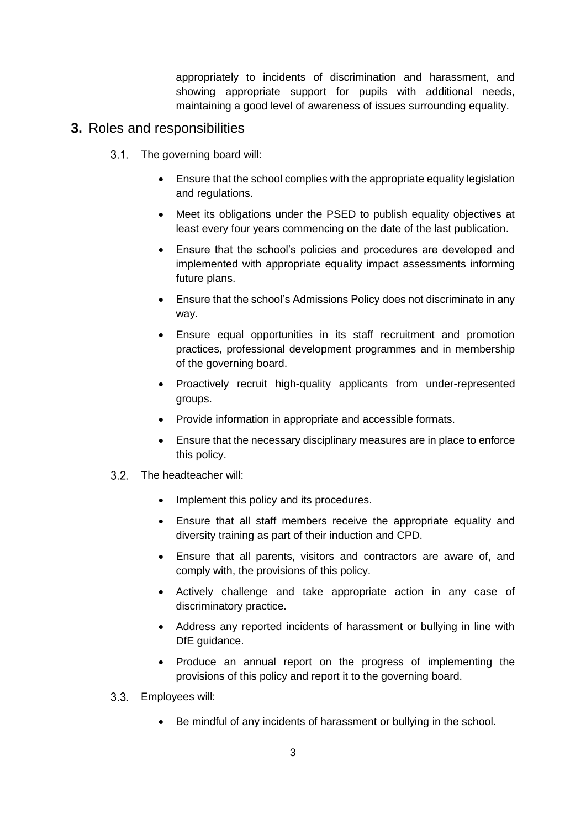appropriately to incidents of discrimination and harassment, and showing appropriate support for pupils with additional needs, maintaining a good level of awareness of issues surrounding equality.

#### <span id="page-6-0"></span>**3.** Roles and responsibilities

- 3.1. The governing board will:
	- Ensure that the school complies with the appropriate equality legislation and regulations.
	- Meet its obligations under the PSED to publish equality objectives at least every four years commencing on the date of the last publication.
	- Ensure that the school's policies and procedures are developed and implemented with appropriate equality impact assessments informing future plans.
	- Ensure that the school's Admissions Policy does not discriminate in any way.
	- Ensure equal opportunities in its staff recruitment and promotion practices, professional development programmes and in membership of the governing board.
	- Proactively recruit high-quality applicants from under-represented groups.
	- Provide information in appropriate and accessible formats.
	- Ensure that the necessary disciplinary measures are in place to enforce this policy.
- 3.2. The headteacher will:
	- Implement this policy and its procedures.
	- Ensure that all staff members receive the appropriate equality and diversity training as part of their induction and CPD.
	- Ensure that all parents, visitors and contractors are aware of, and comply with, the provisions of this policy.
	- Actively challenge and take appropriate action in any case of discriminatory practice.
	- Address any reported incidents of harassment or bullying in line with DfE guidance.
	- Produce an annual report on the progress of implementing the provisions of this policy and report it to the governing board.
- Employees will:
	- Be mindful of any incidents of harassment or bullying in the school.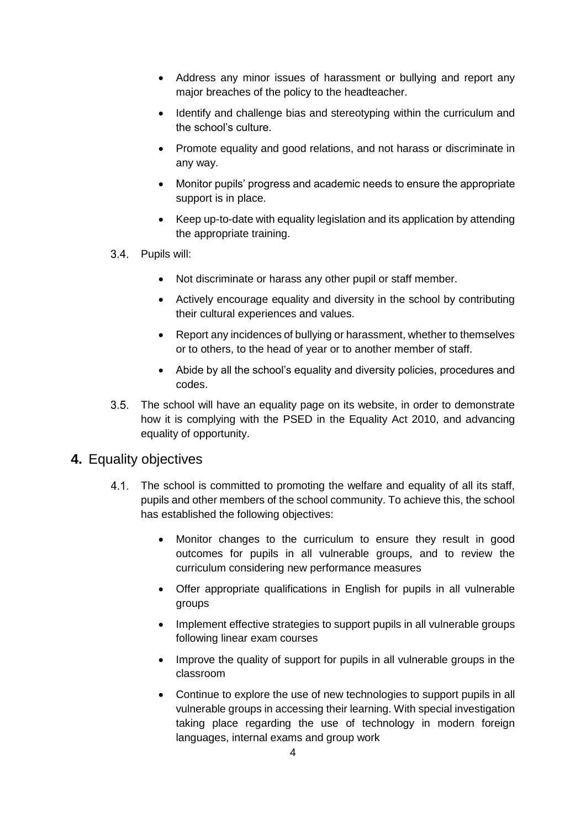- Address any minor issues of harassment or bullying and report any major breaches of the policy to the headteacher.
- Identify and challenge bias and stereotyping within the curriculum and the school's culture.
- Promote equality and good relations, and not harass or discriminate in any way.
- Monitor pupils' progress and academic needs to ensure the appropriate support is in place.
- Keep up-to-date with equality legislation and its application by attending the appropriate training.
- 3.4. Pupils will:
	- Not discriminate or harass any other pupil or staff member.
	- Actively encourage equality and diversity in the school by contributing their cultural experiences and values.
	- Report any incidences of bullying or harassment, whether to themselves or to others, to the head of year or to another member of staff.
	- Abide by all the school's equality and diversity policies, procedures and codes.
- The school will have an equality page on its website, in order to demonstrate how it is complying with the PSED in the Equality Act 2010, and advancing equality of opportunity.

#### <span id="page-7-0"></span>**4.** Equality objectives

- 4.1. The school is committed to promoting the welfare and equality of all its staff, pupils and other members of the school community. To achieve this, the school has established the following objectives:
	- Monitor changes to the curriculum to ensure they result in good outcomes for pupils in all vulnerable groups, and to review the curriculum considering new performance measures
	- Offer appropriate qualifications in English for pupils in all vulnerable groups
	- Implement effective strategies to support pupils in all vulnerable groups following linear exam courses
	- Improve the quality of support for pupils in all vulnerable groups in the classroom
	- Continue to explore the use of new technologies to support pupils in all vulnerable groups in accessing their learning. With special investigation taking place regarding the use of technology in modern foreign languages, internal exams and group work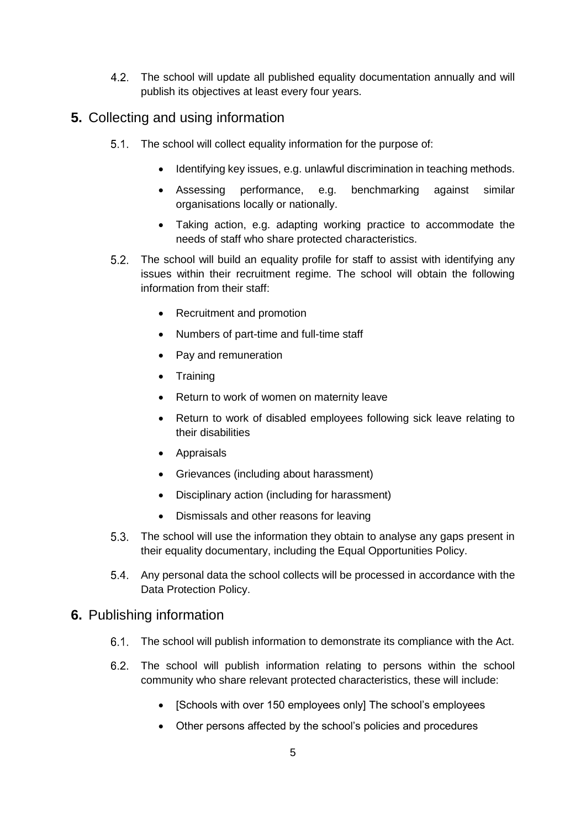The school will update all published equality documentation annually and will publish its objectives at least every four years.

# <span id="page-8-0"></span>**5.** Collecting and using information

- 5.1. The school will collect equality information for the purpose of:
	- Identifying key issues, e.g. unlawful discrimination in teaching methods.
	- Assessing performance, e.g. benchmarking against similar organisations locally or nationally.
	- Taking action, e.g. adapting working practice to accommodate the needs of staff who share protected characteristics.
- 5.2. The school will build an equality profile for staff to assist with identifying any issues within their recruitment regime. The school will obtain the following information from their staff:
	- Recruitment and promotion
	- Numbers of part-time and full-time staff
	- Pay and remuneration
	- Training
	- Return to work of women on maternity leave
	- Return to work of disabled employees following sick leave relating to their disabilities
	- Appraisals
	- Grievances (including about harassment)
	- Disciplinary action (including for harassment)
	- Dismissals and other reasons for leaving
- $5.3.$ The school will use the information they obtain to analyse any gaps present in their equality documentary, including the Equal Opportunities Policy.
- 5.4. Any personal data the school collects will be processed in accordance with the Data Protection Policy.

# <span id="page-8-1"></span>**6.** Publishing information

- The school will publish information to demonstrate its compliance with the Act.
- The school will publish information relating to persons within the school community who share relevant protected characteristics, these will include:
	- [Schools with over 150 employees only] The school's employees
	- Other persons affected by the school's policies and procedures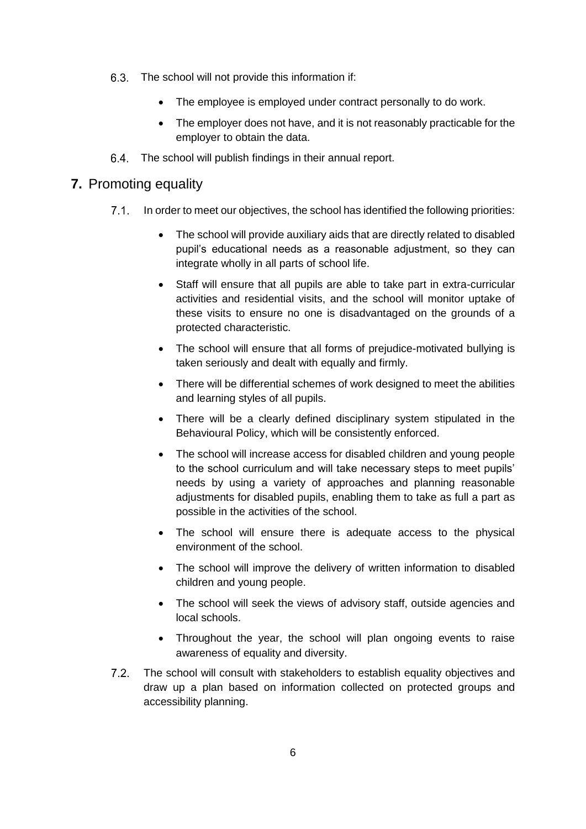- The school will not provide this information if:
	- The employee is employed under contract personally to do work.
	- The employer does not have, and it is not reasonably practicable for the employer to obtain the data.
- The school will publish findings in their annual report.

#### <span id="page-9-0"></span>**7.** Promoting equality

- $7.1$ In order to meet our objectives, the school has identified the following priorities:
	- The school will provide auxiliary aids that are directly related to disabled pupil's educational needs as a reasonable adjustment, so they can integrate wholly in all parts of school life.
	- Staff will ensure that all pupils are able to take part in extra-curricular activities and residential visits, and the school will monitor uptake of these visits to ensure no one is disadvantaged on the grounds of a protected characteristic.
	- The school will ensure that all forms of prejudice-motivated bullying is taken seriously and dealt with equally and firmly.
	- There will be differential schemes of work designed to meet the abilities and learning styles of all pupils.
	- There will be a clearly defined disciplinary system stipulated in the Behavioural Policy, which will be consistently enforced.
	- The school will increase access for disabled children and young people to the school curriculum and will take necessary steps to meet pupils' needs by using a variety of approaches and planning reasonable adjustments for disabled pupils, enabling them to take as full a part as possible in the activities of the school.
	- The school will ensure there is adequate access to the physical environment of the school.
	- The school will improve the delivery of written information to disabled children and young people.
	- The school will seek the views of advisory staff, outside agencies and local schools.
	- Throughout the year, the school will plan ongoing events to raise awareness of equality and diversity.
- $7.2.$ The school will consult with stakeholders to establish equality objectives and draw up a plan based on information collected on protected groups and accessibility planning.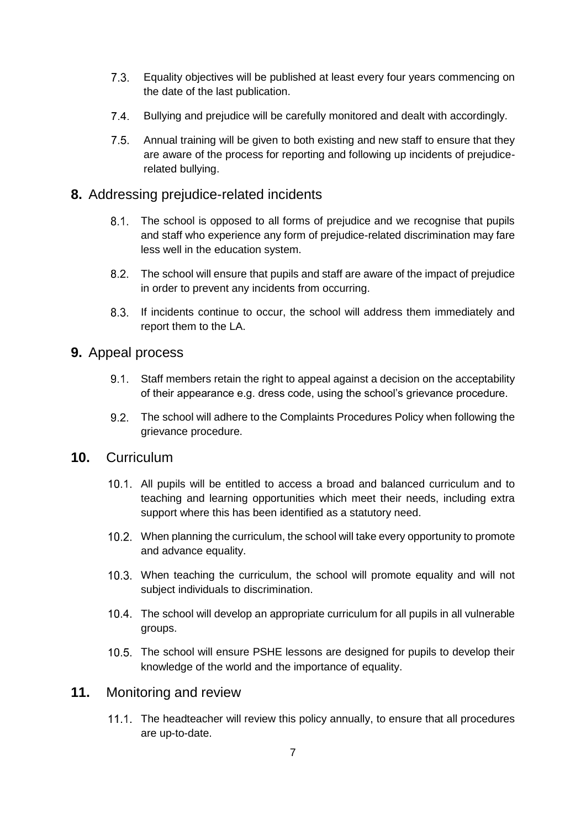- $7.3.$ Equality objectives will be published at least every four years commencing on the date of the last publication.
- $7.4$ Bullying and prejudice will be carefully monitored and dealt with accordingly.
- $7.5.$ Annual training will be given to both existing and new staff to ensure that they are aware of the process for reporting and following up incidents of prejudicerelated bullying.

### <span id="page-10-0"></span>**8.** Addressing prejudice-related incidents

- 8.1. The school is opposed to all forms of prejudice and we recognise that pupils and staff who experience any form of prejudice-related discrimination may fare less well in the education system.
- The school will ensure that pupils and staff are aware of the impact of prejudice in order to prevent any incidents from occurring.
- 8.3. If incidents continue to occur, the school will address them immediately and report them to the LA.

#### <span id="page-10-1"></span>**9.** Appeal process

- Staff members retain the right to appeal against a decision on the acceptability of their appearance e.g. dress code, using the school's grievance procedure.
- $9.2.$ The school will adhere to the Complaints Procedures Policy when following the grievance procedure.

#### <span id="page-10-2"></span>**10.** Curriculum

- All pupils will be entitled to access a broad and balanced curriculum and to teaching and learning opportunities which meet their needs, including extra support where this has been identified as a statutory need.
- When planning the curriculum, the school will take every opportunity to promote and advance equality.
- 10.3. When teaching the curriculum, the school will promote equality and will not subject individuals to discrimination.
- The school will develop an appropriate curriculum for all pupils in all vulnerable groups.
- 10.5. The school will ensure PSHE lessons are designed for pupils to develop their knowledge of the world and the importance of equality.

#### <span id="page-10-3"></span>**11.** Monitoring and review

The headteacher will review this policy annually, to ensure that all procedures are up-to-date.